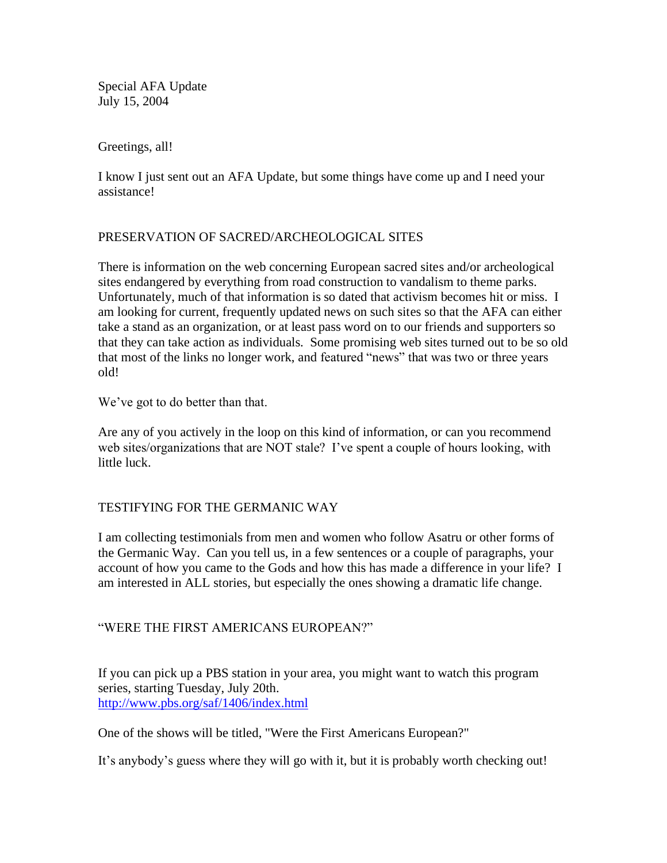Special AFA Update July 15, 2004

Greetings, all!

I know I just sent out an AFA Update, but some things have come up and I need your assistance!

## PRESERVATION OF SACRED/ARCHEOLOGICAL SITES

There is information on the web concerning European sacred sites and/or archeological sites endangered by everything from road construction to vandalism to theme parks. Unfortunately, much of that information is so dated that activism becomes hit or miss. I am looking for current, frequently updated news on such sites so that the AFA can either take a stand as an organization, or at least pass word on to our friends and supporters so that they can take action as individuals. Some promising web sites turned out to be so old that most of the links no longer work, and featured "news" that was two or three years old!

We've got to do better than that.

Are any of you actively in the loop on this kind of information, or can you recommend web sites/organizations that are NOT stale? I've spent a couple of hours looking, with little luck.

## TESTIFYING FOR THE GERMANIC WAY

I am collecting testimonials from men and women who follow Asatru or other forms of the Germanic Way. Can you tell us, in a few sentences or a couple of paragraphs, your account of how you came to the Gods and how this has made a difference in your life? I am interested in ALL stories, but especially the ones showing a dramatic life change.

## "WERE THE FIRST AMERICANS EUROPEAN?"

If you can pick up a PBS station in your area, you might want to watch this program series, starting Tuesday, July 20th. <http://www.pbs.org/saf/1406/index.html>

One of the shows will be titled, "Were the First Americans European?"

It's anybody's guess where they will go with it, but it is probably worth checking out!